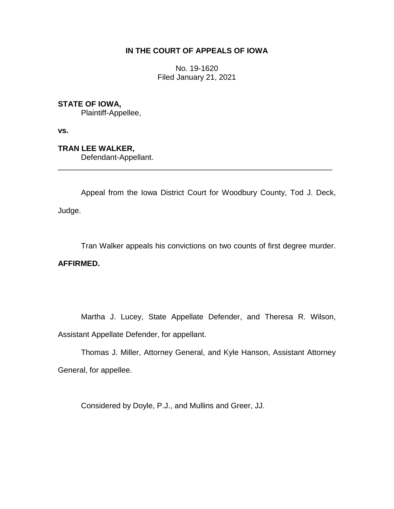# **IN THE COURT OF APPEALS OF IOWA**

No. 19-1620 Filed January 21, 2021

# **STATE OF IOWA,**

Plaintiff-Appellee,

**vs.**

**TRAN LEE WALKER,**

Defendant-Appellant.

Appeal from the Iowa District Court for Woodbury County, Tod J. Deck, Judge.

\_\_\_\_\_\_\_\_\_\_\_\_\_\_\_\_\_\_\_\_\_\_\_\_\_\_\_\_\_\_\_\_\_\_\_\_\_\_\_\_\_\_\_\_\_\_\_\_\_\_\_\_\_\_\_\_\_\_\_\_\_\_\_\_

Tran Walker appeals his convictions on two counts of first degree murder.

### **AFFIRMED.**

Martha J. Lucey, State Appellate Defender, and Theresa R. Wilson, Assistant Appellate Defender, for appellant.

Thomas J. Miller, Attorney General, and Kyle Hanson, Assistant Attorney General, for appellee.

Considered by Doyle, P.J., and Mullins and Greer, JJ.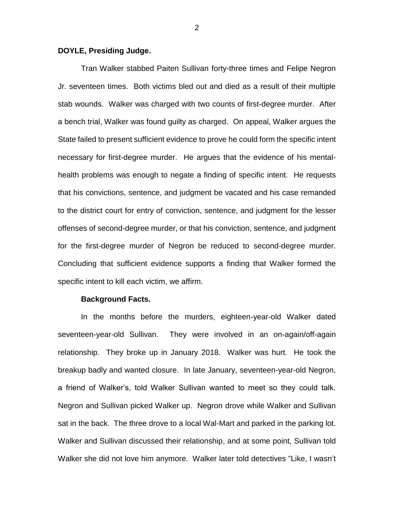### **DOYLE, Presiding Judge.**

Tran Walker stabbed Paiten Sullivan forty-three times and Felipe Negron Jr. seventeen times. Both victims bled out and died as a result of their multiple stab wounds. Walker was charged with two counts of first-degree murder. After a bench trial, Walker was found guilty as charged. On appeal, Walker argues the State failed to present sufficient evidence to prove he could form the specific intent necessary for first-degree murder. He argues that the evidence of his mentalhealth problems was enough to negate a finding of specific intent. He requests that his convictions, sentence, and judgment be vacated and his case remanded to the district court for entry of conviction, sentence, and judgment for the lesser offenses of second-degree murder, or that his conviction, sentence, and judgment for the first-degree murder of Negron be reduced to second-degree murder. Concluding that sufficient evidence supports a finding that Walker formed the specific intent to kill each victim, we affirm.

#### **Background Facts.**

In the months before the murders, eighteen-year-old Walker dated seventeen-year-old Sullivan. They were involved in an on-again/off-again relationship. They broke up in January 2018. Walker was hurt. He took the breakup badly and wanted closure. In late January, seventeen-year-old Negron, a friend of Walker's, told Walker Sullivan wanted to meet so they could talk. Negron and Sullivan picked Walker up. Negron drove while Walker and Sullivan sat in the back. The three drove to a local Wal-Mart and parked in the parking lot. Walker and Sullivan discussed their relationship, and at some point, Sullivan told Walker she did not love him anymore. Walker later told detectives "Like, I wasn't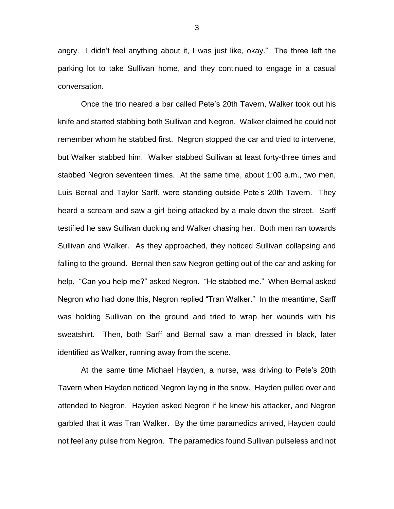angry. I didn't feel anything about it, I was just like, okay." The three left the parking lot to take Sullivan home, and they continued to engage in a casual conversation.

Once the trio neared a bar called Pete's 20th Tavern, Walker took out his knife and started stabbing both Sullivan and Negron. Walker claimed he could not remember whom he stabbed first. Negron stopped the car and tried to intervene, but Walker stabbed him. Walker stabbed Sullivan at least forty-three times and stabbed Negron seventeen times. At the same time, about 1:00 a.m., two men, Luis Bernal and Taylor Sarff, were standing outside Pete's 20th Tavern. They heard a scream and saw a girl being attacked by a male down the street. Sarff testified he saw Sullivan ducking and Walker chasing her. Both men ran towards Sullivan and Walker. As they approached, they noticed Sullivan collapsing and falling to the ground. Bernal then saw Negron getting out of the car and asking for help. "Can you help me?" asked Negron. "He stabbed me." When Bernal asked Negron who had done this, Negron replied "Tran Walker." In the meantime, Sarff was holding Sullivan on the ground and tried to wrap her wounds with his sweatshirt. Then, both Sarff and Bernal saw a man dressed in black, later identified as Walker, running away from the scene.

At the same time Michael Hayden, a nurse, was driving to Pete's 20th Tavern when Hayden noticed Negron laying in the snow. Hayden pulled over and attended to Negron. Hayden asked Negron if he knew his attacker, and Negron garbled that it was Tran Walker. By the time paramedics arrived, Hayden could not feel any pulse from Negron. The paramedics found Sullivan pulseless and not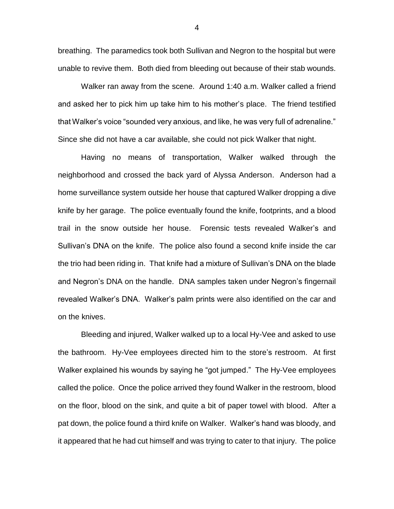breathing. The paramedics took both Sullivan and Negron to the hospital but were unable to revive them. Both died from bleeding out because of their stab wounds.

Walker ran away from the scene. Around 1:40 a.m. Walker called a friend and asked her to pick him up take him to his mother's place. The friend testified that Walker's voice "sounded very anxious, and like, he was very full of adrenaline." Since she did not have a car available, she could not pick Walker that night.

Having no means of transportation, Walker walked through the neighborhood and crossed the back yard of Alyssa Anderson. Anderson had a home surveillance system outside her house that captured Walker dropping a dive knife by her garage. The police eventually found the knife, footprints, and a blood trail in the snow outside her house. Forensic tests revealed Walker's and Sullivan's DNA on the knife. The police also found a second knife inside the car the trio had been riding in. That knife had a mixture of Sullivan's DNA on the blade and Negron's DNA on the handle. DNA samples taken under Negron's fingernail revealed Walker's DNA. Walker's palm prints were also identified on the car and on the knives.

Bleeding and injured, Walker walked up to a local Hy-Vee and asked to use the bathroom. Hy-Vee employees directed him to the store's restroom. At first Walker explained his wounds by saying he "got jumped." The Hy-Vee employees called the police. Once the police arrived they found Walker in the restroom, blood on the floor, blood on the sink, and quite a bit of paper towel with blood. After a pat down, the police found a third knife on Walker. Walker's hand was bloody, and it appeared that he had cut himself and was trying to cater to that injury. The police

4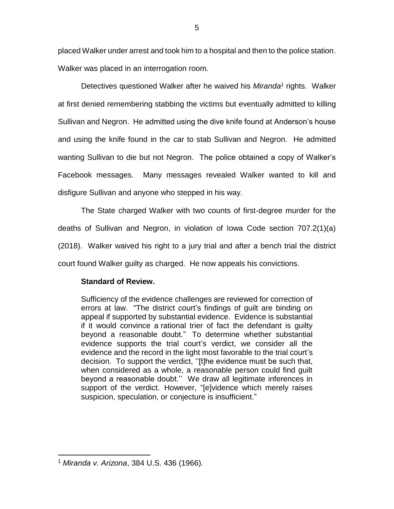placed Walker under arrest and took him to a hospital and then to the police station. Walker was placed in an interrogation room.

Detectives questioned Walker after he waived his *Miranda*<sup>1</sup> rights. Walker at first denied remembering stabbing the victims but eventually admitted to killing Sullivan and Negron. He admitted using the dive knife found at Anderson's house and using the knife found in the car to stab Sullivan and Negron. He admitted wanting Sullivan to die but not Negron. The police obtained a copy of Walker's Facebook messages. Many messages revealed Walker wanted to kill and disfigure Sullivan and anyone who stepped in his way.

The State charged Walker with two counts of first-degree murder for the deaths of Sullivan and Negron, in violation of Iowa Code section 707.2(1)(a) (2018). Walker waived his right to a jury trial and after a bench trial the district court found Walker guilty as charged. He now appeals his convictions.

# **Standard of Review.**

Sufficiency of the evidence challenges are reviewed for correction of errors at law. "The district court's findings of guilt are binding on appeal if supported by substantial evidence. Evidence is substantial if it would convince a rational trier of fact the defendant is guilty beyond a reasonable doubt." To determine whether substantial evidence supports the trial court's verdict, we consider all the evidence and the record in the light most favorable to the trial court's decision. To support the verdict, ''[t]he evidence must be such that, when considered as a whole, a reasonable person could find guilt beyond a reasonable doubt.'' We draw all legitimate inferences in support of the verdict. However, "[e]vidence which merely raises suspicion, speculation, or conjecture is insufficient."

 $\overline{a}$ <sup>1</sup> *Miranda v. Arizona*, 384 U.S. 436 (1966).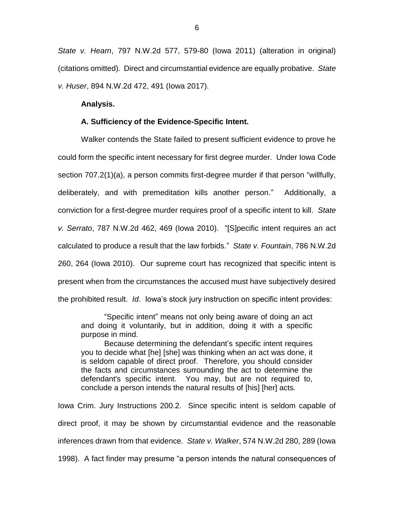*State v. Hearn*, 797 N.W.2d 577, 579-80 (Iowa 2011) (alteration in original) (citations omitted). Direct and circumstantial evidence are equally probative. *State v. Huser*, 894 N.W.2d 472, 491 (Iowa 2017).

### **Analysis.**

#### **A. Sufficiency of the Evidence-Specific Intent.**

Walker contends the State failed to present sufficient evidence to prove he could form the specific intent necessary for first degree murder. Under Iowa Code section 707.2(1)(a), a person commits first-degree murder if that person "willfully, deliberately, and with premeditation kills another person." Additionally, a conviction for a first-degree murder requires proof of a specific intent to kill. *State v. Serrato*, 787 N.W.2d 462, 469 (Iowa 2010). "[S]pecific intent requires an act calculated to produce a result that the law forbids." *State v. Fountain*, 786 N.W.2d 260, 264 (Iowa 2010). Our supreme court has recognized that specific intent is present when from the circumstances the accused must have subjectively desired the prohibited result. *Id*. Iowa's stock jury instruction on specific intent provides:

"Specific intent" means not only being aware of doing an act and doing it voluntarily, but in addition, doing it with a specific purpose in mind.

Because determining the defendant's specific intent requires you to decide what [he] [she] was thinking when an act was done, it is seldom capable of direct proof. Therefore, you should consider the facts and circumstances surrounding the act to determine the defendant's specific intent. You may, but are not required to, conclude a person intends the natural results of [his] [her] acts.

Iowa Crim. Jury Instructions 200.2. Since specific intent is seldom capable of direct proof, it may be shown by circumstantial evidence and the reasonable inferences drawn from that evidence. *State v. Walker*, 574 N.W.2d 280, 289 (Iowa 1998). A fact finder may presume "a person intends the natural consequences of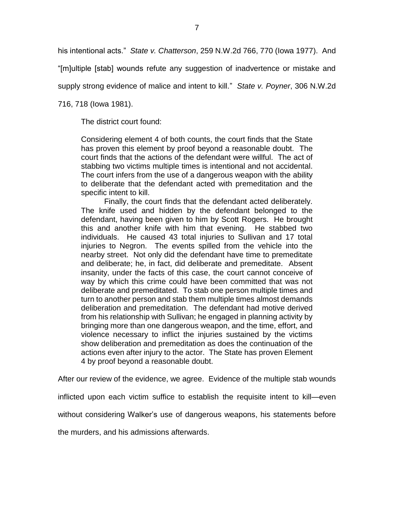his intentional acts." *State v. Chatterson*, 259 N.W.2d 766, 770 (Iowa 1977). And

"[m]ultiple [stab] wounds refute any suggestion of inadvertence or mistake and

supply strong evidence of malice and intent to kill." *State v. Poyner*, 306 N.W.2d

716, 718 (Iowa 1981).

The district court found:

Considering element 4 of both counts, the court finds that the State has proven this element by proof beyond a reasonable doubt. The court finds that the actions of the defendant were willful. The act of stabbing two victims multiple times is intentional and not accidental. The court infers from the use of a dangerous weapon with the ability to deliberate that the defendant acted with premeditation and the specific intent to kill.

Finally, the court finds that the defendant acted deliberately. The knife used and hidden by the defendant belonged to the defendant, having been given to him by Scott Rogers. He brought this and another knife with him that evening. He stabbed two individuals. He caused 43 total injuries to Sullivan and 17 total injuries to Negron. The events spilled from the vehicle into the nearby street. Not only did the defendant have time to premeditate and deliberate; he, in fact, did deliberate and premeditate. Absent insanity, under the facts of this case, the court cannot conceive of way by which this crime could have been committed that was not deliberate and premeditated. To stab one person multiple times and turn to another person and stab them multiple times almost demands deliberation and premeditation. The defendant had motive derived from his relationship with Sullivan; he engaged in planning activity by bringing more than one dangerous weapon, and the time, effort, and violence necessary to inflict the injuries sustained by the victims show deliberation and premeditation as does the continuation of the actions even after injury to the actor. The State has proven Element 4 by proof beyond a reasonable doubt.

After our review of the evidence, we agree. Evidence of the multiple stab wounds

inflicted upon each victim suffice to establish the requisite intent to kill—even

without considering Walker's use of dangerous weapons, his statements before

the murders, and his admissions afterwards.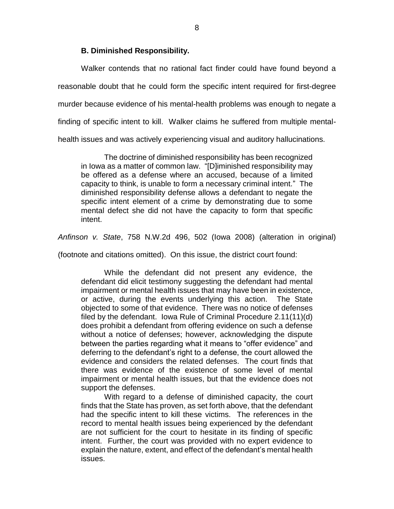### **B. Diminished Responsibility.**

Walker contends that no rational fact finder could have found beyond a reasonable doubt that he could form the specific intent required for first-degree murder because evidence of his mental-health problems was enough to negate a finding of specific intent to kill. Walker claims he suffered from multiple mentalhealth issues and was actively experiencing visual and auditory hallucinations.

The doctrine of diminished responsibility has been recognized in Iowa as a matter of common law. "[D]iminished responsibility may be offered as a defense where an accused, because of a limited capacity to think, is unable to form a necessary criminal intent." The diminished responsibility defense allows a defendant to negate the specific intent element of a crime by demonstrating due to some mental defect she did not have the capacity to form that specific intent.

*Anfinson v. State*, 758 N.W.2d 496, 502 (Iowa 2008) (alteration in original)

(footnote and citations omitted). On this issue, the district court found:

While the defendant did not present any evidence, the defendant did elicit testimony suggesting the defendant had mental impairment or mental health issues that may have been in existence, or active, during the events underlying this action. The State objected to some of that evidence. There was no notice of defenses filed by the defendant. Iowa Rule of Criminal Procedure 2.11(11)(d) does prohibit a defendant from offering evidence on such a defense without a notice of defenses; however, acknowledging the dispute between the parties regarding what it means to "offer evidence" and deferring to the defendant's right to a defense, the court allowed the evidence and considers the related defenses. The court finds that there was evidence of the existence of some level of mental impairment or mental health issues, but that the evidence does not support the defenses.

With regard to a defense of diminished capacity, the court finds that the State has proven, as set forth above, that the defendant had the specific intent to kill these victims. The references in the record to mental health issues being experienced by the defendant are not sufficient for the court to hesitate in its finding of specific intent. Further, the court was provided with no expert evidence to explain the nature, extent, and effect of the defendant's mental health issues.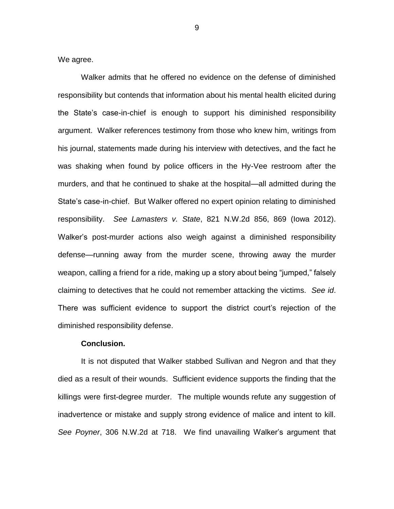We agree.

Walker admits that he offered no evidence on the defense of diminished responsibility but contends that information about his mental health elicited during the State's case-in-chief is enough to support his diminished responsibility argument. Walker references testimony from those who knew him, writings from his journal, statements made during his interview with detectives, and the fact he was shaking when found by police officers in the Hy-Vee restroom after the murders, and that he continued to shake at the hospital—all admitted during the State's case-in-chief. But Walker offered no expert opinion relating to diminished responsibility. *See Lamasters v. State*, 821 N.W.2d 856, 869 (Iowa 2012). Walker's post-murder actions also weigh against a diminished responsibility defense—running away from the murder scene, throwing away the murder weapon, calling a friend for a ride, making up a story about being "jumped," falsely claiming to detectives that he could not remember attacking the victims. *See id*. There was sufficient evidence to support the district court's rejection of the diminished responsibility defense.

### **Conclusion.**

It is not disputed that Walker stabbed Sullivan and Negron and that they died as a result of their wounds. Sufficient evidence supports the finding that the killings were first-degree murder. The multiple wounds refute any suggestion of inadvertence or mistake and supply strong evidence of malice and intent to kill. *See Poyner*, 306 N.W.2d at 718. We find unavailing Walker's argument that

9